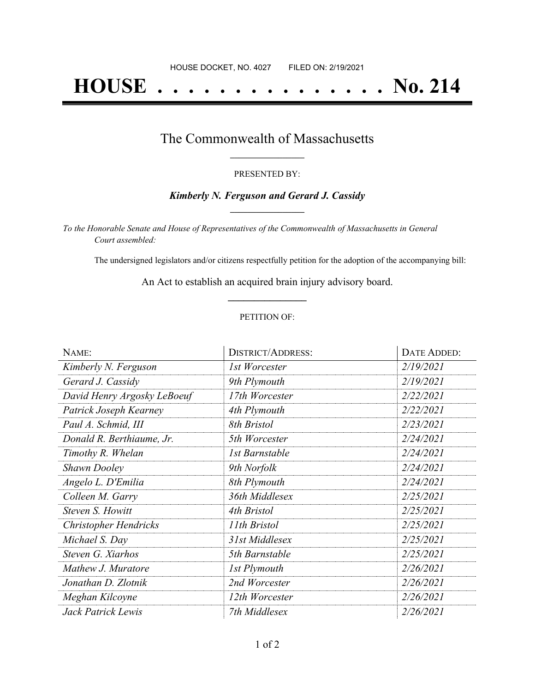# **HOUSE . . . . . . . . . . . . . . . No. 214**

### The Commonwealth of Massachusetts **\_\_\_\_\_\_\_\_\_\_\_\_\_\_\_\_\_**

#### PRESENTED BY:

#### *Kimberly N. Ferguson and Gerard J. Cassidy* **\_\_\_\_\_\_\_\_\_\_\_\_\_\_\_\_\_**

*To the Honorable Senate and House of Representatives of the Commonwealth of Massachusetts in General Court assembled:*

The undersigned legislators and/or citizens respectfully petition for the adoption of the accompanying bill:

An Act to establish an acquired brain injury advisory board. **\_\_\_\_\_\_\_\_\_\_\_\_\_\_\_**

#### PETITION OF:

| NAME:                       | <b>DISTRICT/ADDRESS:</b> | DATE ADDED: |
|-----------------------------|--------------------------|-------------|
| Kimberly N. Ferguson        | 1st Worcester            | 2/19/2021   |
| Gerard J. Cassidy           | 9th Plymouth             | 2/19/2021   |
| David Henry Argosky LeBoeuf | 17th Worcester           | 2/22/2021   |
| Patrick Joseph Kearney      | 4th Plymouth             | 2/22/2021   |
| Paul A. Schmid, III         | 8th Bristol              | 2/23/2021   |
| Donald R. Berthiaume, Jr.   | 5th Worcester            | 2/24/2021   |
| Timothy R. Whelan           | 1st Barnstable           | 2/24/2021   |
| <b>Shawn Dooley</b>         | 9th Norfolk              | 2/24/2021   |
| Angelo L. D'Emilia          | 8th Plymouth             | 2/24/2021   |
| Colleen M. Garry            | 36th Middlesex           | 2/25/2021   |
| Steven S. Howitt            | 4th Bristol              | 2/25/2021   |
| Christopher Hendricks       | 11th Bristol             | 2/25/2021   |
| Michael S. Day              | 31st Middlesex           | 2/25/2021   |
| Steven G. Xiarhos           | 5th Barnstable           | 2/25/2021   |
| Mathew J. Muratore          | <b>1st Plymouth</b>      | 2/26/2021   |
| Jonathan D. Zlotnik         | 2nd Worcester            | 2/26/2021   |
| Meghan Kilcoyne             | 12th Worcester           | 2/26/2021   |
| Jack Patrick Lewis          | 7th Middlesex            | 2/26/2021   |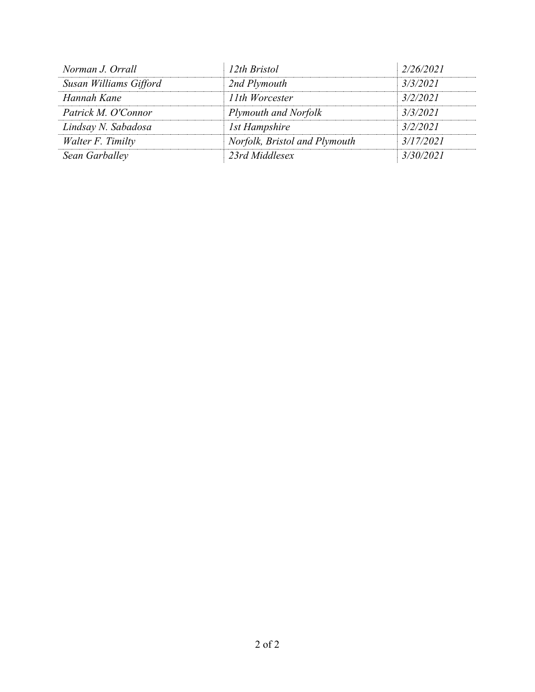| Norman J. Orrall       | 12th Bristol                  | 2/26/2021 |
|------------------------|-------------------------------|-----------|
| Susan Williams Gifford | 2nd Plymouth                  | 3/3/2021  |
| Hannah Kane            | 11th Worcester                | 3/2/2021  |
| Patrick M. O'Connor    | <b>Plymouth and Norfolk</b>   | 3/3/2021  |
| Lindsay N. Sabadosa    | 1st Hampshire                 | 3/2/2021  |
| Walter F. Timilty      | Norfolk, Bristol and Plymouth | 3/17/2021 |
| Sean Garballey         | 23rd Middlesex                | 3/30/2021 |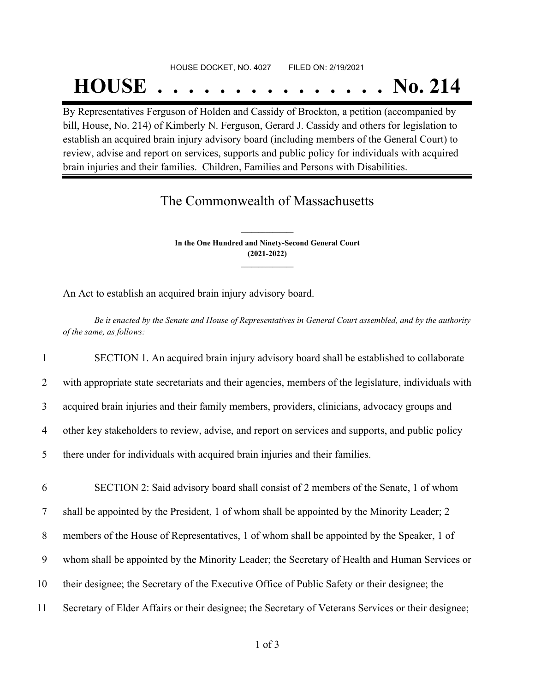## HOUSE DOCKET, NO. 4027 FILED ON: 2/19/2021 **HOUSE . . . . . . . . . . . . . . . No. 214**

By Representatives Ferguson of Holden and Cassidy of Brockton, a petition (accompanied by bill, House, No. 214) of Kimberly N. Ferguson, Gerard J. Cassidy and others for legislation to establish an acquired brain injury advisory board (including members of the General Court) to review, advise and report on services, supports and public policy for individuals with acquired brain injuries and their families. Children, Families and Persons with Disabilities.

## The Commonwealth of Massachusetts

**In the One Hundred and Ninety-Second General Court (2021-2022) \_\_\_\_\_\_\_\_\_\_\_\_\_\_\_**

**\_\_\_\_\_\_\_\_\_\_\_\_\_\_\_**

An Act to establish an acquired brain injury advisory board.

Be it enacted by the Senate and House of Representatives in General Court assembled, and by the authority *of the same, as follows:*

 SECTION 1. An acquired brain injury advisory board shall be established to collaborate with appropriate state secretariats and their agencies, members of the legislature, individuals with acquired brain injuries and their family members, providers, clinicians, advocacy groups and other key stakeholders to review, advise, and report on services and supports, and public policy there under for individuals with acquired brain injuries and their families. SECTION 2: Said advisory board shall consist of 2 members of the Senate, 1 of whom shall be appointed by the President, 1 of whom shall be appointed by the Minority Leader; 2 members of the House of Representatives, 1 of whom shall be appointed by the Speaker, 1 of whom shall be appointed by the Minority Leader; the Secretary of Health and Human Services or their designee; the Secretary of the Executive Office of Public Safety or their designee; the Secretary of Elder Affairs or their designee; the Secretary of Veterans Services or their designee;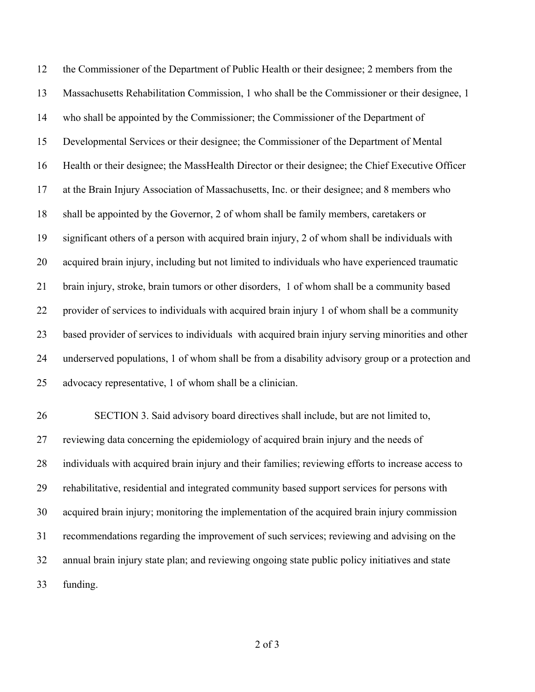the Commissioner of the Department of Public Health or their designee; 2 members from the Massachusetts Rehabilitation Commission, 1 who shall be the Commissioner or their designee, 1 who shall be appointed by the Commissioner; the Commissioner of the Department of Developmental Services or their designee; the Commissioner of the Department of Mental Health or their designee; the MassHealth Director or their designee; the Chief Executive Officer at the Brain Injury Association of Massachusetts, Inc. or their designee; and 8 members who shall be appointed by the Governor, 2 of whom shall be family members, caretakers or significant others of a person with acquired brain injury, 2 of whom shall be individuals with acquired brain injury, including but not limited to individuals who have experienced traumatic brain injury, stroke, brain tumors or other disorders, 1 of whom shall be a community based provider of services to individuals with acquired brain injury 1 of whom shall be a community based provider of services to individuals with acquired brain injury serving minorities and other underserved populations, 1 of whom shall be from a disability advisory group or a protection and advocacy representative, 1 of whom shall be a clinician.

 SECTION 3. Said advisory board directives shall include, but are not limited to, reviewing data concerning the epidemiology of acquired brain injury and the needs of individuals with acquired brain injury and their families; reviewing efforts to increase access to rehabilitative, residential and integrated community based support services for persons with acquired brain injury; monitoring the implementation of the acquired brain injury commission recommendations regarding the improvement of such services; reviewing and advising on the annual brain injury state plan; and reviewing ongoing state public policy initiatives and state funding.